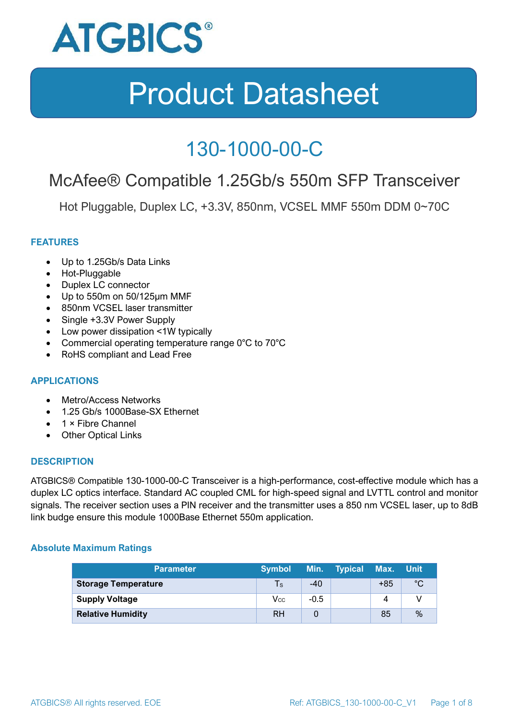

### 130-1000-00-C

### McAfee® Compatible 1.25Gb/s 550m SFP Transceiver

Hot Pluggable, Duplex LC, +3.3V, 850nm, VCSEL MMF 550m DDM 0~70C

#### **FEATURES**

- Up to 1.25Gb/s Data Links
- Hot-Pluggable
- Duplex LC connector
- Up to 550m on 50/125μm MMF
- 850nm VCSEL laser transmitter
- Single +3.3V Power Supply
- Low power dissipation <1W typically
- Commercial operating temperature range 0°C to 70°C
- RoHS compliant and Lead Free

#### **APPLICATIONS**

- Metro/Access Networks
- 1.25 Gb/s 1000Base-SX Ethernet
- 1 × Fibre Channel
- Other Optical Links

#### **DESCRIPTION**

ATGBICS® Compatible 130-1000-00-C Transceiver is a high-performance, cost-effective module which has a duplex LC optics interface. Standard AC coupled CML for high-speed signal and LVTTL control and monitor signals. The receiver section uses a PIN receiver and the transmitter uses a 850 nm VCSEL laser, up to 8dB link budge ensure this module 1000Base Ethernet 550m application.

#### **Absolute Maximum Ratings**

| <b>Parameter</b>           | <b>Symbol</b> |        | Min. Typical | Max. Unit |      |
|----------------------------|---------------|--------|--------------|-----------|------|
| <b>Storage Temperature</b> | $\mathsf{Ts}$ | $-40$  |              | $+85$     | °C   |
| <b>Supply Voltage</b>      | Vcc           | $-0.5$ |              | 4         |      |
| <b>Relative Humidity</b>   | <b>RH</b>     |        |              | 85        | $\%$ |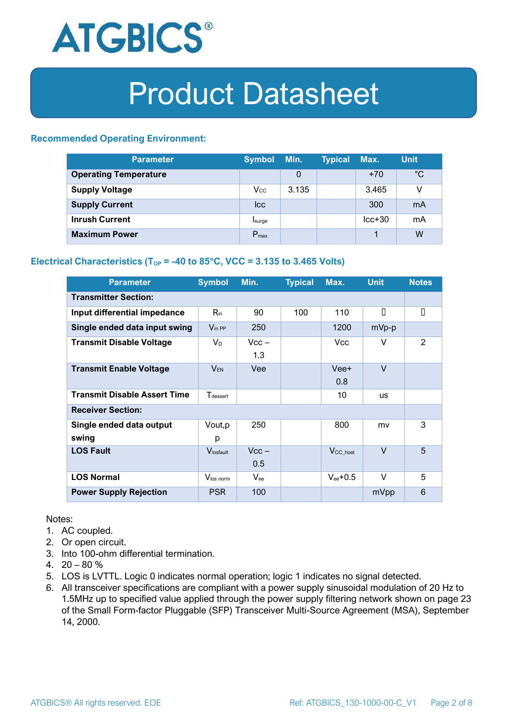

#### **Recommended Operating Environment:**

| <b>Parameter</b>             | <b>Symbol</b>    | Min.  | <b>Typical</b> | Max.     | <b>Unit</b> |
|------------------------------|------------------|-------|----------------|----------|-------------|
| <b>Operating Temperature</b> |                  | 0     |                | $+70$    | $^{\circ}C$ |
| <b>Supply Voltage</b>        | $V_{\rm CC}$     | 3.135 |                | 3.465    | v           |
| <b>Supply Current</b>        | <b>Icc</b>       |       |                | 300      | mA          |
| <b>Inrush Current</b>        | Isurge           |       |                | $lcc+30$ | mA          |
| <b>Maximum Power</b>         | $P_{\text{max}}$ |       |                |          | W           |

#### **Electrical Characteristics** ( $T_{OP}$  = -40 to 85°C, VCC = 3.135 to 3.465 Volts)

| <b>Parameter</b>                    | <b>Symbol</b>               | Min.           | <b>Typical</b> | Max.                  | <b>Unit</b> | <b>Notes</b> |
|-------------------------------------|-----------------------------|----------------|----------------|-----------------------|-------------|--------------|
| <b>Transmitter Section:</b>         |                             |                |                |                       |             |              |
| Input differential impedance        | $R_{\rm in}$                | 90             | 100            | 110                   | П           | О            |
| Single ended data input swing       | $V_{\text{in PP}}$          | 250            |                | 1200                  | mVp-p       |              |
| <b>Transmit Disable Voltage</b>     | $V_D$                       | $Vcc -$<br>1.3 |                | Vcc                   | V           | 2            |
| <b>Transmit Enable Voltage</b>      | $V_{EN}$                    | Vee            |                | Vee+<br>0.8           | $\vee$      |              |
| <b>Transmit Disable Assert Time</b> | <b>T</b> <sub>dessert</sub> |                |                | 10                    | <b>US</b>   |              |
| <b>Receiver Section:</b>            |                             |                |                |                       |             |              |
| Single ended data output<br>swing   | Vout, p<br>р                | 250            |                | 800                   | mv          | 3            |
| <b>LOS Fault</b>                    | Vlosfault                   | $Vcc -$<br>0.5 |                | $V_{\text{CC\_host}}$ | $\vee$      | 5            |
| <b>LOS Normal</b>                   | Vlos norm                   | $V_{\rm ee}$   |                | $V_{ee}$ +0.5         | V           | 5            |
| <b>Power Supply Rejection</b>       | <b>PSR</b>                  | 100            |                |                       | mVpp        | 6            |

Notes:

- 1. AC coupled.
- 2. Or open circuit.
- 3. Into 100-ohm differential termination.
- 4.  $20 80 \%$
- 5. LOS is LVTTL. Logic 0 indicates normal operation; logic 1 indicates no signal detected.
- 6. All transceiver specifications are compliant with a power supply sinusoidal modulation of 20 Hz to 1.5MHz up to specified value applied through the power supply filtering network shown on page 23 of the Small Form-factor Pluggable (SFP) Transceiver Multi-Source Agreement (MSA), September 14, 2000.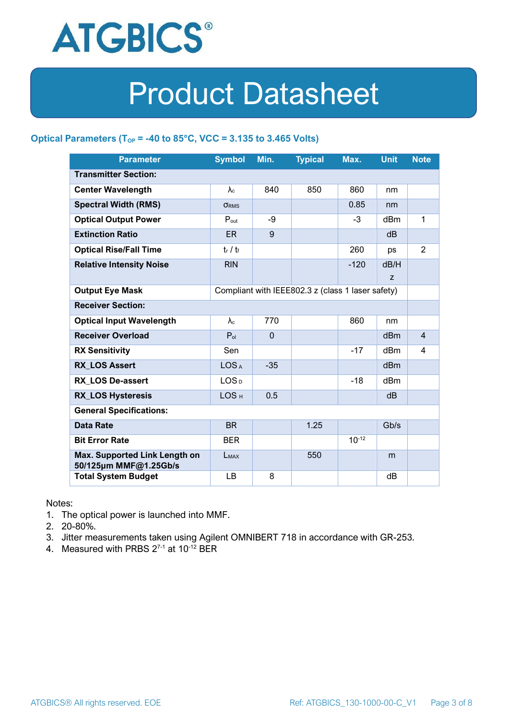

#### **Optical Parameters** ( $T_{OP}$  = -40 to 85°C, VCC = 3.135 to 3.465 Volts)

| <b>Parameter</b>                                                            | <b>Symbol</b>     | Min.         | <b>Typical</b> | Max.       | <b>Unit</b>     | <b>Note</b>    |
|-----------------------------------------------------------------------------|-------------------|--------------|----------------|------------|-----------------|----------------|
| <b>Transmitter Section:</b>                                                 |                   |              |                |            |                 |                |
| <b>Center Wavelength</b>                                                    | $\lambda_c$       | 840          | 850            | 860        | nm              |                |
| <b>Spectral Width (RMS)</b>                                                 | <b>ORMS</b>       |              |                | 0.85       | nm              |                |
| <b>Optical Output Power</b>                                                 | $P_{\text{out}}$  | -9           |                | $-3$       | dBm             | 1              |
| <b>Extinction Ratio</b>                                                     | <b>ER</b>         | 9            |                |            | dB              |                |
| <b>Optical Rise/Fall Time</b>                                               | $t_r / t_f$       |              |                | 260        | ps              | $\overline{2}$ |
| <b>Relative Intensity Noise</b>                                             | <b>RIN</b>        |              |                | $-120$     | dB/H            |                |
|                                                                             |                   |              |                |            | Z               |                |
| <b>Output Eye Mask</b><br>Compliant with IEEE802.3 z (class 1 laser safety) |                   |              |                |            |                 |                |
| <b>Receiver Section:</b>                                                    |                   |              |                |            |                 |                |
| <b>Optical Input Wavelength</b>                                             | $\lambda_{\rm c}$ | 770          |                | 860        | nm              |                |
| <b>Receiver Overload</b>                                                    | $P_{ol}$          | $\mathbf{0}$ |                |            | dBm             | $\overline{4}$ |
| <b>RX Sensitivity</b>                                                       | Sen               |              |                | $-17$      | dBm             | 4              |
| <b>RX LOS Assert</b>                                                        | LOS <sub>A</sub>  | $-35$        |                |            | d <sub>Bm</sub> |                |
| <b>RX LOS De-assert</b>                                                     | LOS <sub>D</sub>  |              |                | $-18$      | dB <sub>m</sub> |                |
| <b>RX_LOS Hysteresis</b>                                                    | LOS <sub>H</sub>  | 0.5          |                |            | d <sub>B</sub>  |                |
| <b>General Specifications:</b>                                              |                   |              |                |            |                 |                |
| <b>Data Rate</b>                                                            | <b>BR</b>         |              | 1.25           |            | Gb/s            |                |
| <b>Bit Error Rate</b>                                                       | <b>BER</b>        |              |                | $10^{-12}$ |                 |                |
| Max. Supported Link Length on<br>50/125µm MMF@1.25Gb/s                      | LMAX              |              | 550            |            | m               |                |
| <b>Total System Budget</b>                                                  | LB                | 8            |                |            | dB              |                |

Notes:

- 1. The optical power is launched into MMF.
- 2. 20-80%.
- 3. Jitter measurements taken using Agilent OMNIBERT 718 in accordance with GR-253.
- 4. Measured with PRBS  $2^{7-1}$  at 10<sup>-12</sup> BER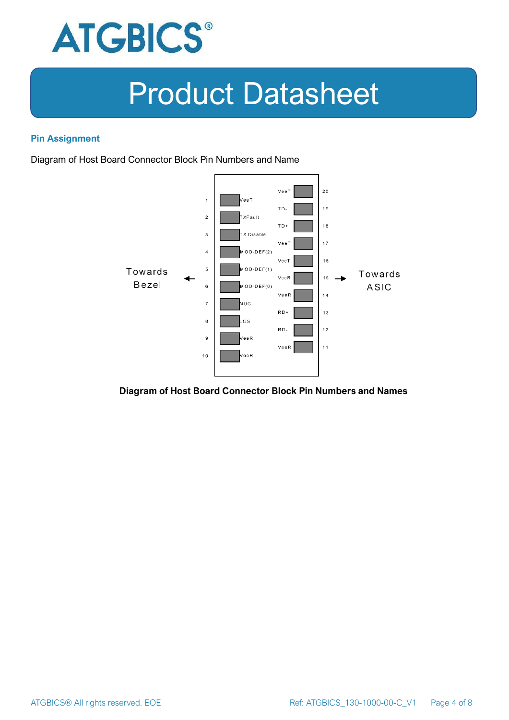

#### **Pin Assignment**

Diagram of Host Board Connector Block Pin Numbers and Name



#### **Diagram of Host Board Connector Block Pin Numbers and Names**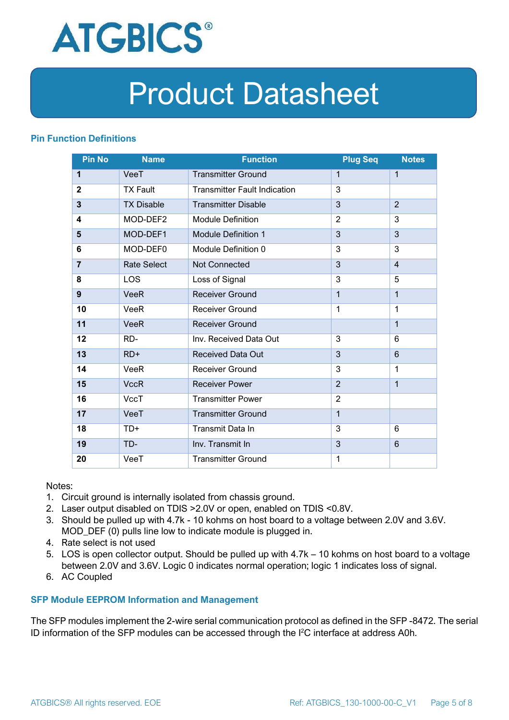

#### **Pin Function Definitions**

| <b>Pin No</b>  | <b>Name</b>        | <b>Function</b>                     | <b>Plug Seq</b> | <b>Notes</b>   |
|----------------|--------------------|-------------------------------------|-----------------|----------------|
| 1              | VeeT               | <b>Transmitter Ground</b>           | 1               | $\mathbf 1$    |
| $\overline{2}$ | <b>TX Fault</b>    | <b>Transmitter Fault Indication</b> | 3               |                |
| 3              | <b>TX Disable</b>  | <b>Transmitter Disable</b>          | 3               | $\overline{2}$ |
| 4              | MOD-DEF2           | <b>Module Definition</b>            | $\overline{2}$  | 3              |
| 5              | MOD-DEF1           | <b>Module Definition 1</b>          | 3               | 3              |
| 6              | MOD-DEF0           | Module Definition 0                 | 3               | 3              |
| $\overline{7}$ | <b>Rate Select</b> | Not Connected                       | 3               | $\overline{4}$ |
| 8              | <b>LOS</b>         | Loss of Signal                      | 3               | 5              |
| 9              | <b>VeeR</b>        | <b>Receiver Ground</b>              | $\mathbf 1$     | $\mathbf{1}$   |
| 10             | VeeR               | Receiver Ground                     | $\mathbf{1}$    | 1              |
| 11             | <b>VeeR</b>        | <b>Receiver Ground</b>              |                 | $\mathbf{1}$   |
| 12             | RD-                | Inv. Received Data Out              | 3               | 6              |
| 13             | $RD+$              | <b>Received Data Out</b>            | 3               | $6\phantom{1}$ |
| 14             | <b>VeeR</b>        | <b>Receiver Ground</b>              | 3               | 1              |
| 15             | <b>VccR</b>        | <b>Receiver Power</b>               | $\overline{2}$  | $\mathbf{1}$   |
| 16             | <b>VccT</b>        | <b>Transmitter Power</b>            | $\overline{2}$  |                |
| 17             | VeeT               | <b>Transmitter Ground</b>           | $\mathbf{1}$    |                |
| 18             | $TD+$              | Transmit Data In                    | 3               | 6              |
| 19             | TD-                | Inv. Transmit In                    | 3               | $6\phantom{1}$ |
| 20             | VeeT               | <b>Transmitter Ground</b>           | 1               |                |

Notes:

- 1. Circuit ground is internally isolated from chassis ground.
- 2. Laser output disabled on TDIS >2.0V or open, enabled on TDIS <0.8V.
- 3. Should be pulled up with 4.7k 10 kohms on host board to a voltage between 2.0V and 3.6V. MOD\_DEF (0) pulls line low to indicate module is plugged in.
- 4. Rate select is not used
- 5. LOS is open collector output. Should be pulled up with 4.7k 10 kohms on host board to a voltage between 2.0V and 3.6V. Logic 0 indicates normal operation; logic 1 indicates loss of signal.
- 6. AC Coupled

#### **SFP Module EEPROM Information and Management**

The SFP modules implement the 2-wire serial communication protocol as defined in the SFP -8472. The serial ID information of the SFP modules can be accessed through the I2C interface at address A0h.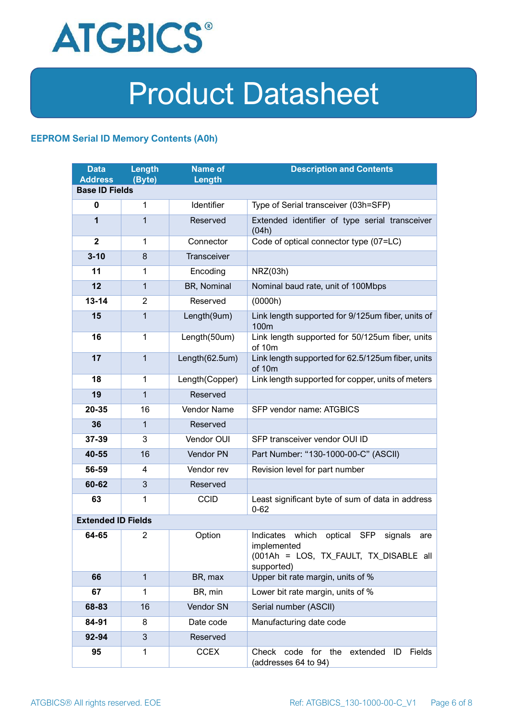

#### **EEPROM Serial ID Memory Contents (A0h)**

| <b>Data</b><br><b>Address</b> | Length<br>(Byte) | <b>Name of</b><br>Length | <b>Description and Contents</b>                                                                                                   |  |
|-------------------------------|------------------|--------------------------|-----------------------------------------------------------------------------------------------------------------------------------|--|
| <b>Base ID Fields</b>         |                  |                          |                                                                                                                                   |  |
| $\mathbf 0$                   | 1                | Identifier               | Type of Serial transceiver (03h=SFP)                                                                                              |  |
| 1                             | 1                | Reserved                 | Extended identifier of type serial transceiver<br>(04h)                                                                           |  |
| $\mathbf{2}$                  | 1                | Connector                | Code of optical connector type (07=LC)                                                                                            |  |
| $3 - 10$                      | 8                | Transceiver              |                                                                                                                                   |  |
| 11                            | 1                | Encoding                 | NRZ(03h)                                                                                                                          |  |
| 12                            | 1                | BR, Nominal              | Nominal baud rate, unit of 100Mbps                                                                                                |  |
| $13 - 14$                     | $\overline{2}$   | Reserved                 | (0000h)                                                                                                                           |  |
| 15                            | 1                | Length(9um)              | Link length supported for 9/125um fiber, units of<br>100m                                                                         |  |
| 16                            | $\mathbf 1$      | Length(50um)             | Link length supported for 50/125um fiber, units<br>of 10m                                                                         |  |
| 17                            | $\mathbf{1}$     | Length(62.5um)           | Link length supported for 62.5/125um fiber, units<br>of 10m                                                                       |  |
| 18                            | $\mathbf{1}$     | Length(Copper)           | Link length supported for copper, units of meters                                                                                 |  |
| 19                            | $\mathbf{1}$     | Reserved                 |                                                                                                                                   |  |
| 20-35                         | 16               | <b>Vendor Name</b>       | SFP vendor name: ATGBICS                                                                                                          |  |
| 36                            | 1                | Reserved                 |                                                                                                                                   |  |
| 37-39                         | 3                | Vendor OUI               | SFP transceiver vendor OUI ID                                                                                                     |  |
| 40-55                         | 16               | Vendor PN                | Part Number: "130-1000-00-C" (ASCII)                                                                                              |  |
| 56-59                         | 4                | Vendor rev               | Revision level for part number                                                                                                    |  |
| 60-62                         | 3                | Reserved                 |                                                                                                                                   |  |
| 63                            | 1                | <b>CCID</b>              | Least significant byte of sum of data in address<br>$0 - 62$                                                                      |  |
| <b>Extended ID Fields</b>     |                  |                          |                                                                                                                                   |  |
| 64-65                         | $\overline{2}$   | Option                   | Indicates which<br>optical<br><b>SFP</b><br>signals<br>are<br>implemented<br>(001Ah = LOS, TX_FAULT, TX_DISABLE all<br>supported) |  |
| 66                            | $\mathbf{1}$     | BR, max                  | Upper bit rate margin, units of %                                                                                                 |  |
| 67                            | 1                | BR, min                  | Lower bit rate margin, units of %                                                                                                 |  |
| 68-83                         | 16               | Vendor SN                | Serial number (ASCII)                                                                                                             |  |
| 84-91                         | 8                | Date code                | Manufacturing date code                                                                                                           |  |
| 92-94                         | 3                | Reserved                 |                                                                                                                                   |  |
| 95                            | 1                | <b>CCEX</b>              | Check code for the<br>Fields<br>extended<br>ID<br>(addresses 64 to 94)                                                            |  |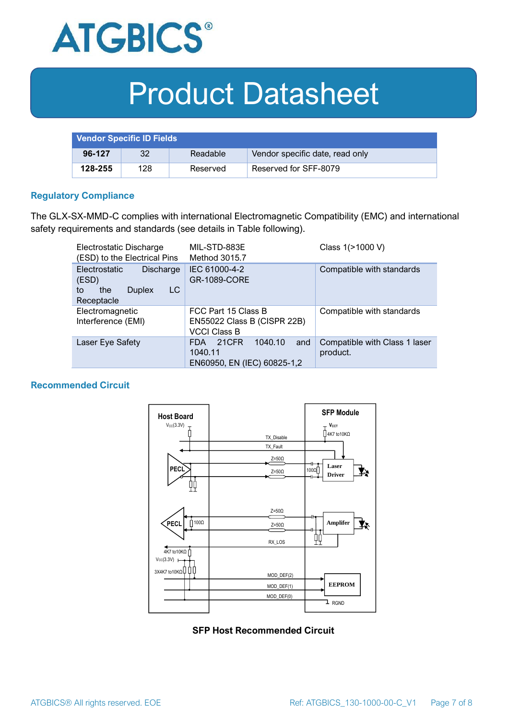

| <b>Vendor Specific ID Fields</b> |     |          |                                 |
|----------------------------------|-----|----------|---------------------------------|
| 96-127                           | 32  | Readable | Vendor specific date, read only |
| 128-255                          | 128 | Reserved | Reserved for SFF-8079           |

#### **Regulatory Compliance**

The GLX-SX-MMD-C complies with international Electromagnetic Compatibility (EMC) and international safety requirements and standards (see details in Table following).

| Electrostatic Discharge<br>(ESD) to the Electrical Pins                                      | MIL-STD-883E<br>Method 3015.7                                                   | Class 1(>1000 V)                          |  |
|----------------------------------------------------------------------------------------------|---------------------------------------------------------------------------------|-------------------------------------------|--|
| <b>Electrostatic</b><br>Discharge<br>(ESD)<br>LC<br>the<br><b>Duplex</b><br>to<br>Receptacle | IEC 61000-4-2<br><b>GR-1089-CORE</b>                                            | Compatible with standards                 |  |
| Electromagnetic<br>Interference (EMI)                                                        | FCC Part 15 Class B<br>EN55022 Class B (CISPR 22B)<br><b>VCCI Class B</b>       | Compatible with standards                 |  |
| Laser Eye Safety                                                                             | 1040.10<br>21CFR<br>and<br><b>FDA</b><br>1040.11<br>EN60950, EN (IEC) 60825-1,2 | Compatible with Class 1 laser<br>product. |  |

#### **Recommended Circuit**



#### **SFP Host Recommended Circuit**